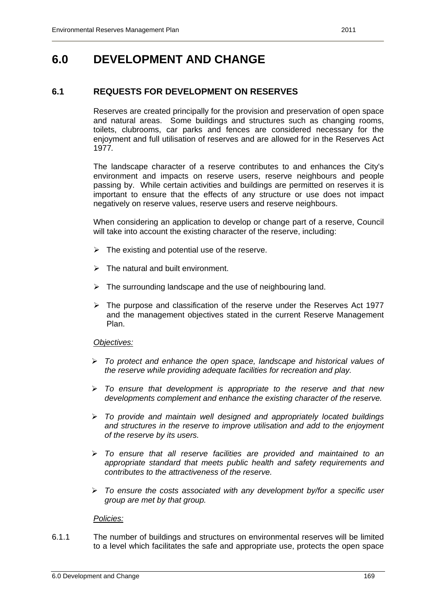## **6.0 DEVELOPMENT AND CHANGE**

### **6.1 REQUESTS FOR DEVELOPMENT ON RESERVES**

Reserves are created principally for the provision and preservation of open space and natural areas. Some buildings and structures such as changing rooms, toilets, clubrooms, car parks and fences are considered necessary for the enjoyment and full utilisation of reserves and are allowed for in the Reserves Act 1977*.* 

 The landscape character of a reserve contributes to and enhances the City's environment and impacts on reserve users, reserve neighbours and people passing by. While certain activities and buildings are permitted on reserves it is important to ensure that the effects of any structure or use does not impact negatively on reserve values, reserve users and reserve neighbours.

 When considering an application to develop or change part of a reserve, Council will take into account the existing character of the reserve, including:

- $\triangleright$  The existing and potential use of the reserve.
- $\triangleright$  The natural and built environment.
- $\triangleright$  The surrounding landscape and the use of neighbouring land.
- $\triangleright$  The purpose and classification of the reserve under the Reserves Act 1977 and the management objectives stated in the current Reserve Management Plan.

### *Objectives:*

- *To protect and enhance the open space, landscape and historical values of the reserve while providing adequate facilities for recreation and play.*
- *To ensure that development is appropriate to the reserve and that new developments complement and enhance the existing character of the reserve.*
- *To provide and maintain well designed and appropriately located buildings and structures in the reserve to improve utilisation and add to the enjoyment of the reserve by its users.*
- *To ensure that all reserve facilities are provided and maintained to an appropriate standard that meets public health and safety requirements and contributes to the attractiveness of the reserve.*
- *To ensure the costs associated with any development by/for a specific user group are met by that group.*

#### *Policies:*

6.1.1 The number of buildings and structures on environmental reserves will be limited to a level which facilitates the safe and appropriate use, protects the open space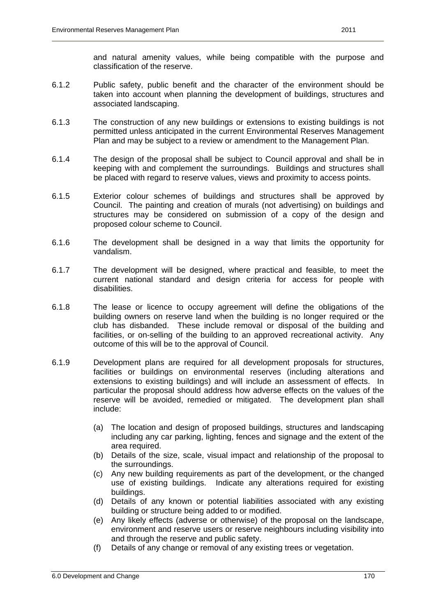and natural amenity values, while being compatible with the purpose and classification of the reserve.

- 6.1.2 Public safety, public benefit and the character of the environment should be taken into account when planning the development of buildings, structures and associated landscaping.
- 6.1.3 The construction of any new buildings or extensions to existing buildings is not permitted unless anticipated in the current Environmental Reserves Management Plan and may be subject to a review or amendment to the Management Plan.
- 6.1.4 The design of the proposal shall be subject to Council approval and shall be in keeping with and complement the surroundings. Buildings and structures shall be placed with regard to reserve values, views and proximity to access points.
- 6.1.5 Exterior colour schemes of buildings and structures shall be approved by Council. The painting and creation of murals (not advertising) on buildings and structures may be considered on submission of a copy of the design and proposed colour scheme to Council.
- 6.1.6 The development shall be designed in a way that limits the opportunity for vandalism.
- 6.1.7 The development will be designed, where practical and feasible, to meet the current national standard and design criteria for access for people with disabilities.
- 6.1.8 The lease or licence to occupy agreement will define the obligations of the building owners on reserve land when the building is no longer required or the club has disbanded. These include removal or disposal of the building and facilities, or on-selling of the building to an approved recreational activity. Any outcome of this will be to the approval of Council.
- 6.1.9 Development plans are required for all development proposals for structures, facilities or buildings on environmental reserves (including alterations and extensions to existing buildings) and will include an assessment of effects. In particular the proposal should address how adverse effects on the values of the reserve will be avoided, remedied or mitigated. The development plan shall include:
	- (a) The location and design of proposed buildings, structures and landscaping including any car parking, lighting, fences and signage and the extent of the area required.
	- (b) Details of the size, scale, visual impact and relationship of the proposal to the surroundings.
	- (c) Any new building requirements as part of the development, or the changed use of existing buildings. Indicate any alterations required for existing buildings.
	- (d) Details of any known or potential liabilities associated with any existing building or structure being added to or modified.
	- (e) Any likely effects (adverse or otherwise) of the proposal on the landscape, environment and reserve users or reserve neighbours including visibility into and through the reserve and public safety.
	- (f) Details of any change or removal of any existing trees or vegetation.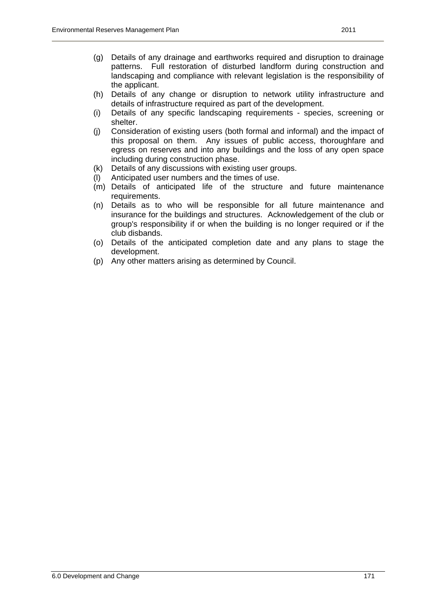- (h) Details of any change or disruption to network utility infrastructure and details of infrastructure required as part of the development.
- (i) Details of any specific landscaping requirements species, screening or shelter.
- (j) Consideration of existing users (both formal and informal) and the impact of this proposal on them. Any issues of public access, thoroughfare and egress on reserves and into any buildings and the loss of any open space including during construction phase.
- (k) Details of any discussions with existing user groups.
- (l) Anticipated user numbers and the times of use.
- (m) Details of anticipated life of the structure and future maintenance requirements.
- (n) Details as to who will be responsible for all future maintenance and insurance for the buildings and structures. Acknowledgement of the club or group's responsibility if or when the building is no longer required or if the club disbands.
- (o) Details of the anticipated completion date and any plans to stage the development.
- (p) Any other matters arising as determined by Council.